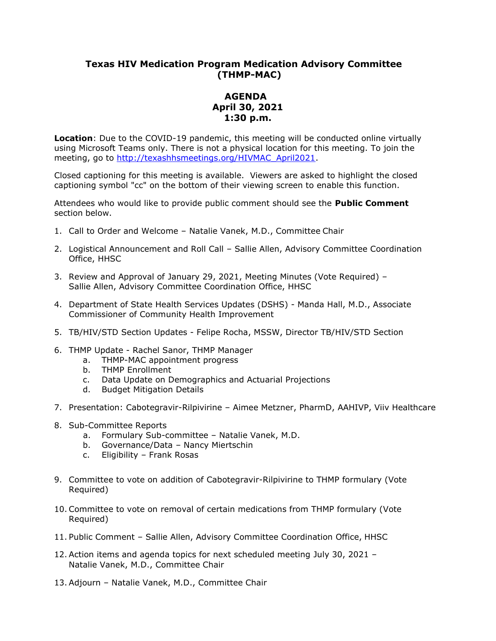## **Texas HIV Medication Program Medication Advisory Committee (THMP-MAC)**

## **AGENDA April 30, 2021 1:30 p.m.**

**Location**: Due to the COVID-19 pandemic, this meeting will be conducted online virtually using Microsoft Teams only. There is not a physical location for this meeting. To join the meeting, go to [http://texashhsmeetings.org/HIVMAC\\_April2021.](http://texashhsmeetings.org/HIVMAC_April2021)

Closed captioning for this meeting is available. Viewers are asked to highlight the closed captioning symbol "cc" on the bottom of their viewing screen to enable this function.

Attendees who would like to provide public comment should see the **Public Comment**  section below.

- 1. Call to Order and Welcome Natalie Vanek, M.D., Committee Chair
- 2. Logistical Announcement and Roll Call Sallie Allen, Advisory Committee Coordination Office, HHSC
- 3. Review and Approval of January 29, 2021, Meeting Minutes (Vote Required) Sallie Allen, Advisory Committee Coordination Office, HHSC
- 4. Department of State Health Services Updates (DSHS) Manda Hall, M.D., Associate Commissioner of Community Health Improvement
- 5. TB/HIV/STD Section Updates Felipe Rocha, MSSW, Director TB/HIV/STD Section
- 6. THMP Update Rachel Sanor, THMP Manager
	- a. THMP-MAC appointment progress
	- b. THMP Enrollment
	- c. Data Update on Demographics and Actuarial Projections
	- d. Budget Mitigation Details
- 7. Presentation: Cabotegravir-Rilpivirine Aimee Metzner, PharmD, AAHIVP, Viiv Healthcare
- 8. Sub-Committee Reports
	- a. Formulary Sub-committee Natalie Vanek, M.D.
	- b. Governance/Data Nancy Miertschin
	- c. Eligibility Frank Rosas
- 9. Committee to vote on addition of Cabotegravir-Rilpivirine to THMP formulary (Vote Required)
- 10. Committee to vote on removal of certain medications from THMP formulary (Vote Required)
- 11. Public Comment Sallie Allen, Advisory Committee Coordination Office, HHSC
- 12. Action items and agenda topics for next scheduled meeting July 30, 2021 Natalie Vanek, M.D., Committee Chair
- 13. Adjourn Natalie Vanek, M.D., Committee Chair